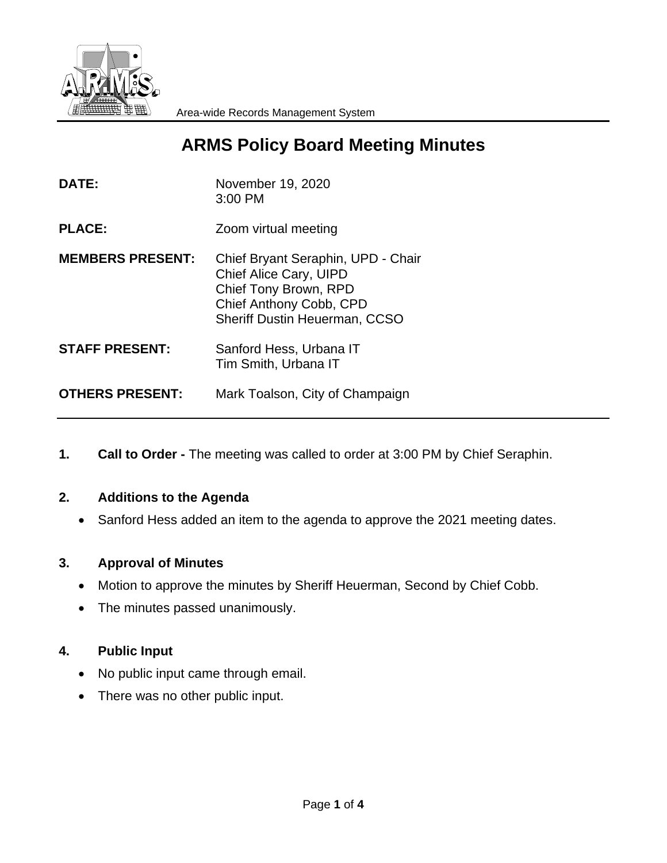

# **ARMS Policy Board Meeting Minutes**

| <b>DATE:</b>            | November 19, 2020<br>3:00 PM                                                                                                                             |
|-------------------------|----------------------------------------------------------------------------------------------------------------------------------------------------------|
| <b>PLACE:</b>           | Zoom virtual meeting                                                                                                                                     |
| <b>MEMBERS PRESENT:</b> | Chief Bryant Seraphin, UPD - Chair<br>Chief Alice Cary, UIPD<br>Chief Tony Brown, RPD<br>Chief Anthony Cobb, CPD<br><b>Sheriff Dustin Heuerman, CCSO</b> |
| <b>STAFF PRESENT:</b>   | Sanford Hess, Urbana IT<br>Tim Smith, Urbana IT                                                                                                          |
| <b>OTHERS PRESENT:</b>  | Mark Toalson, City of Champaign                                                                                                                          |

**1. Call to Order -** The meeting was called to order at 3:00 PM by Chief Seraphin.

# **2. Additions to the Agenda**

Sanford Hess added an item to the agenda to approve the 2021 meeting dates.

# **3. Approval of Minutes**

- Motion to approve the minutes by Sheriff Heuerman, Second by Chief Cobb.
- The minutes passed unanimously.

# **4. Public Input**

- No public input came through email.
- There was no other public input.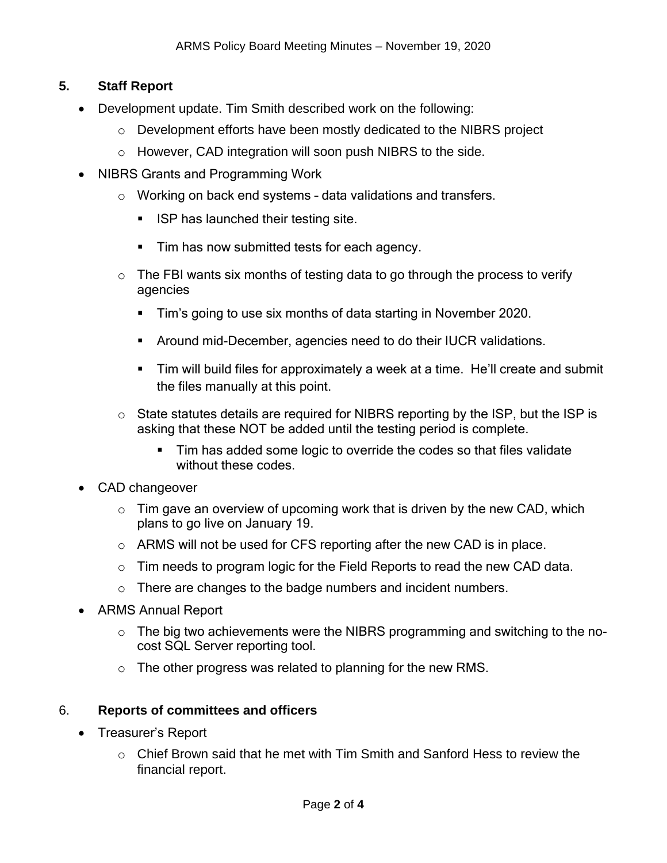# **5. Staff Report**

- Development update. Tim Smith described work on the following:
	- o Development efforts have been mostly dedicated to the NIBRS project
	- o However, CAD integration will soon push NIBRS to the side.
- NIBRS Grants and Programming Work
	- o Working on back end systems data validations and transfers.
		- **ISP has launched their testing site.**
		- **Tim has now submitted tests for each agency.**
	- $\circ$  The FBI wants six months of testing data to go through the process to verify agencies
		- Tim's going to use six months of data starting in November 2020.
		- Around mid-December, agencies need to do their IUCR validations.
		- Tim will build files for approximately a week at a time. He'll create and submit the files manually at this point.
	- o State statutes details are required for NIBRS reporting by the ISP, but the ISP is asking that these NOT be added until the testing period is complete.
		- Tim has added some logic to override the codes so that files validate without these codes.
- CAD changeover
	- $\circ$  Tim gave an overview of upcoming work that is driven by the new CAD, which plans to go live on January 19.
	- o ARMS will not be used for CFS reporting after the new CAD is in place.
	- o Tim needs to program logic for the Field Reports to read the new CAD data.
	- o There are changes to the badge numbers and incident numbers.
- ARMS Annual Report
	- $\circ$  The big two achievements were the NIBRS programming and switching to the nocost SQL Server reporting tool.
	- $\circ$  The other progress was related to planning for the new RMS.

# 6. **Reports of committees and officers**

- Treasurer's Report
	- $\circ$  Chief Brown said that he met with Tim Smith and Sanford Hess to review the financial report.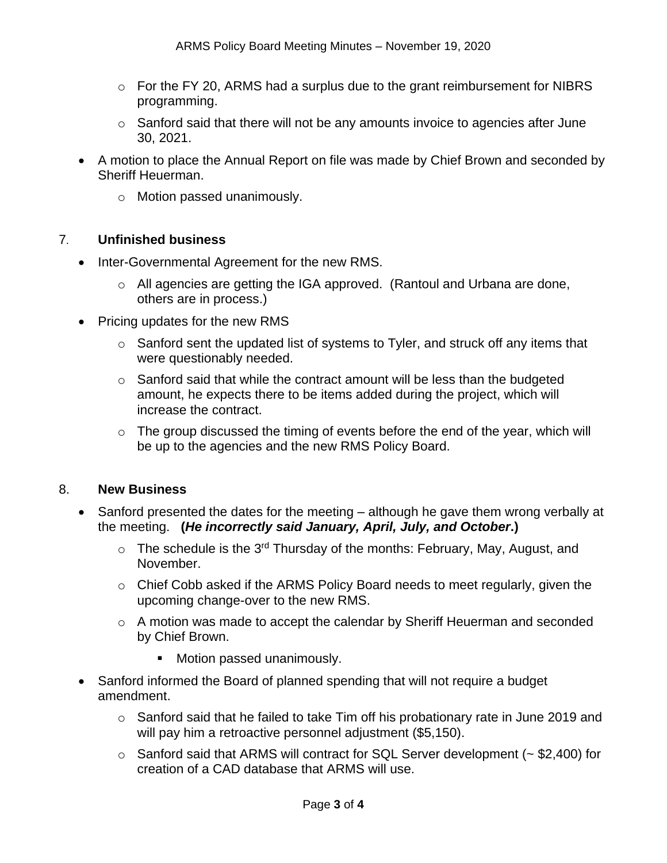- $\circ$  For the FY 20, ARMS had a surplus due to the grant reimbursement for NIBRS programming.
- $\circ$  Sanford said that there will not be any amounts invoice to agencies after June 30, 2021.
- A motion to place the Annual Report on file was made by Chief Brown and seconded by Sheriff Heuerman.
	- o Motion passed unanimously.

### 7. **Unfinished business**

- Inter-Governmental Agreement for the new RMS.
	- o All agencies are getting the IGA approved. (Rantoul and Urbana are done, others are in process.)
- Pricing updates for the new RMS
	- o Sanford sent the updated list of systems to Tyler, and struck off any items that were questionably needed.
	- o Sanford said that while the contract amount will be less than the budgeted amount, he expects there to be items added during the project, which will increase the contract.
	- o The group discussed the timing of events before the end of the year, which will be up to the agencies and the new RMS Policy Board.

#### 8. **New Business**

- Sanford presented the dates for the meeting although he gave them wrong verbally at the meeting. **(***He incorrectly said January, April, July, and October***.)** 
	- $\circ$  The schedule is the 3<sup>rd</sup> Thursday of the months: February, May, August, and November.
	- o Chief Cobb asked if the ARMS Policy Board needs to meet regularly, given the upcoming change-over to the new RMS.
	- o A motion was made to accept the calendar by Sheriff Heuerman and seconded by Chief Brown.
		- **Motion passed unanimously.**
- Sanford informed the Board of planned spending that will not require a budget amendment.
	- o Sanford said that he failed to take Tim off his probationary rate in June 2019 and will pay him a retroactive personnel adjustment (\$5,150).
	- $\circ$  Sanford said that ARMS will contract for SQL Server development ( $\sim$  \$2,400) for creation of a CAD database that ARMS will use.